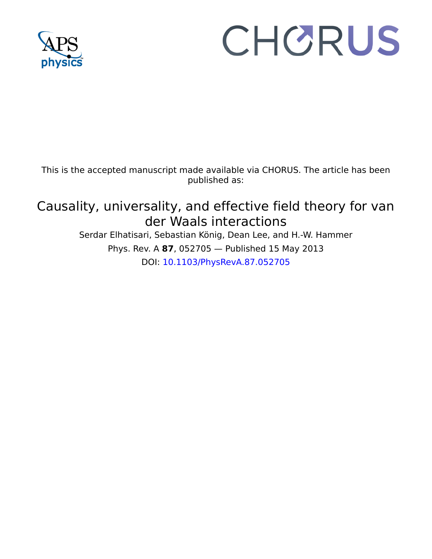

# CHORUS

This is the accepted manuscript made available via CHORUS. The article has been published as:

# Causality, universality, and effective field theory for van der Waals interactions

Serdar Elhatisari, Sebastian König, Dean Lee, and H.-W. Hammer Phys. Rev. A **87**, 052705 — Published 15 May 2013 DOI: [10.1103/PhysRevA.87.052705](http://dx.doi.org/10.1103/PhysRevA.87.052705)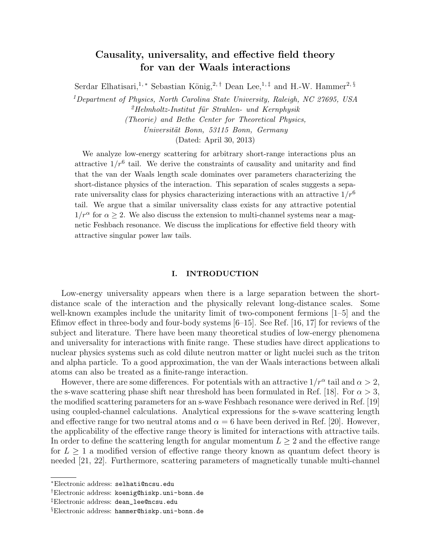# Causality, universality, and effective field theory for van der Waals interactions

Serdar Elhatisari,<sup>1,\*</sup> Sebastian König,<sup>2,†</sup> Dean Lee,<sup>1,‡</sup> and H.-W. Hammer<sup>2, §</sup>

<sup>1</sup>Department of Physics, North Carolina State University, Raleigh, NC 27695, USA  $^{2}$ Helmholtz-Institut für Strahlen- und Kernphysik (Theorie) and Bethe Center for Theoretical Physics, Universität Bonn, 53115 Bonn, Germany (Dated: April 30, 2013)

We analyze low-energy scattering for arbitrary short-range interactions plus an attractive  $1/r^6$  tail. We derive the constraints of causality and unitarity and find that the van der Waals length scale dominates over parameters characterizing the short-distance physics of the interaction. This separation of scales suggests a separate universality class for physics characterizing interactions with an attractive  $1/r^6$ tail. We argue that a similar universality class exists for any attractive potential  $1/r^{\alpha}$  for  $\alpha \geq 2$ . We also discuss the extension to multi-channel systems near a magnetic Feshbach resonance. We discuss the implications for effective field theory with attractive singular power law tails.

### I. INTRODUCTION

Low-energy universality appears when there is a large separation between the shortdistance scale of the interaction and the physically relevant long-distance scales. Some well-known examples include the unitarity limit of two-component fermions [1–5] and the Efimov effect in three-body and four-body systems  $[6-15]$ . See Ref. [16, 17] for reviews of the subject and literature. There have been many theoretical studies of low-energy phenomena and universality for interactions with finite range. These studies have direct applications to nuclear physics systems such as cold dilute neutron matter or light nuclei such as the triton and alpha particle. To a good approximation, the van der Waals interactions between alkali atoms can also be treated as a finite-range interaction.

However, there are some differences. For potentials with an attractive  $1/r^{\alpha}$  tail and  $\alpha > 2$ , the s-wave scattering phase shift near threshold has been formulated in Ref. [18]. For  $\alpha > 3$ , the modified scattering parameters for an s-wave Feshbach resonance were derived in Ref. [19] using coupled-channel calculations. Analytical expressions for the s-wave scattering length and effective range for two neutral atoms and  $\alpha = 6$  have been derived in Ref. [20]. However, the applicability of the effective range theory is limited for interactions with attractive tails. In order to define the scattering length for angular momentum  $L \geq 2$  and the effective range for  $L \geq 1$  a modified version of effective range theory known as quantum defect theory is needed [21, 22]. Furthermore, scattering parameters of magnetically tunable multi-channel

<sup>∗</sup>Electronic address: selhati@ncsu.edu

<sup>†</sup>Electronic address: koenig@hiskp.uni-bonn.de

<sup>‡</sup>Electronic address: dean\_lee@ncsu.edu

<sup>§</sup>Electronic address: hammer@hiskp.uni-bonn.de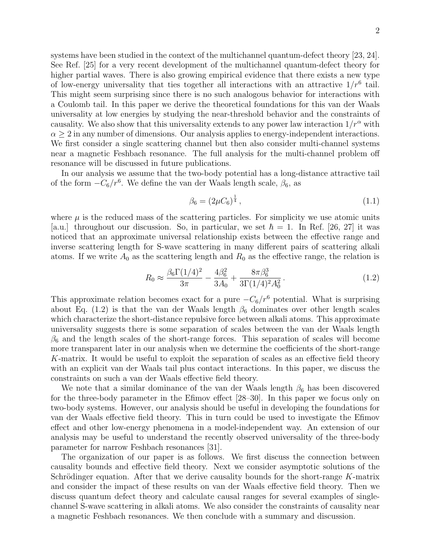systems have been studied in the context of the multichannel quantum-defect theory [23, 24]. See Ref. [25] for a very recent development of the multichannel quantum-defect theory for higher partial waves. There is also growing empirical evidence that there exists a new type of low-energy universality that ties together all interactions with an attractive  $1/r^6$  tail. This might seem surprising since there is no such analogous behavior for interactions with a Coulomb tail. In this paper we derive the theoretical foundations for this van der Waals universality at low energies by studying the near-threshold behavior and the constraints of causality. We also show that this universality extends to any power law interaction  $1/r^{\alpha}$  with  $\alpha \geq 2$  in any number of dimensions. Our analysis applies to energy-independent interactions. We first consider a single scattering channel but then also consider multi-channel systems near a magnetic Feshbach resonance. The full analysis for the multi-channel problem off resonance will be discussed in future publications.

In our analysis we assume that the two-body potential has a long-distance attractive tail of the form  $-C_6/r^6$ . We define the van der Waals length scale,  $\beta_6$ , as

$$
\beta_6 = (2\mu C_6)^{\frac{1}{4}},\tag{1.1}
$$

where  $\mu$  is the reduced mass of the scattering particles. For simplicity we use atomic units [a.u.] throughout our discussion. So, in particular, we set  $\hbar = 1$ . In Ref. [26, 27] it was noticed that an approximate universal relationship exists between the effective range and inverse scattering length for S-wave scattering in many different pairs of scattering alkali atoms. If we write  $A_0$  as the scattering length and  $R_0$  as the effective range, the relation is

$$
R_0 \approx \frac{\beta_6 \Gamma (1/4)^2}{3\pi} - \frac{4\beta_6^2}{3A_0} + \frac{8\pi \beta_6^3}{3\Gamma (1/4)^2 A_0^2} \,. \tag{1.2}
$$

This approximate relation becomes exact for a pure  $-C_6/r^6$  potential. What is surprising about Eq. (1.2) is that the van der Waals length  $\beta_6$  dominates over other length scales which characterize the short-distance repulsive force between alkali atoms. This approximate universality suggests there is some separation of scales between the van der Waals length  $\beta_6$  and the length scales of the short-range forces. This separation of scales will become more transparent later in our analysis when we determine the coefficients of the short-range K-matrix. It would be useful to exploit the separation of scales as an effective field theory with an explicit van der Waals tail plus contact interactions. In this paper, we discuss the constraints on such a van der Waals effective field theory.

We note that a similar dominance of the van der Waals length  $\beta_6$  has been discovered for the three-body parameter in the Efimov effect [28–30]. In this paper we focus only on two-body systems. However, our analysis should be useful in developing the foundations for van der Waals effective field theory. This in turn could be used to investigate the Efimov effect and other low-energy phenomena in a model-independent way. An extension of our analysis may be useful to understand the recently observed universality of the three-body parameter for narrow Feshbach resonances [31].

The organization of our paper is as follows. We first discuss the connection between causality bounds and effective field theory. Next we consider asymptotic solutions of the Schrödinger equation. After that we derive causality bounds for the short-range  $K$ -matrix and consider the impact of these results on van der Waals effective field theory. Then we discuss quantum defect theory and calculate causal ranges for several examples of singlechannel S-wave scattering in alkali atoms. We also consider the constraints of causality near a magnetic Feshbach resonances. We then conclude with a summary and discussion.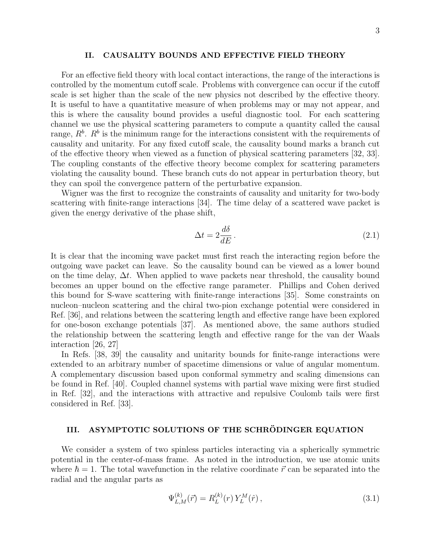# II. CAUSALITY BOUNDS AND EFFECTIVE FIELD THEORY

For an effective field theory with local contact interactions, the range of the interactions is controlled by the momentum cutoff scale. Problems with convergence can occur if the cutoff scale is set higher than the scale of the new physics not described by the effective theory. It is useful to have a quantitative measure of when problems may or may not appear, and this is where the causality bound provides a useful diagnostic tool. For each scattering channel we use the physical scattering parameters to compute a quantity called the causal range,  $R^b$ .  $R^b$  is the minimum range for the interactions consistent with the requirements of causality and unitarity. For any fixed cutoff scale, the causality bound marks a branch cut of the effective theory when viewed as a function of physical scattering parameters [32, 33]. The coupling constants of the effective theory become complex for scattering parameters violating the causality bound. These branch cuts do not appear in perturbation theory, but they can spoil the convergence pattern of the perturbative expansion.

Wigner was the first to recognize the constraints of causality and unitarity for two-body scattering with finite-range interactions [34]. The time delay of a scattered wave packet is given the energy derivative of the phase shift,

$$
\Delta t = 2 \frac{d\delta}{dE} \,. \tag{2.1}
$$

It is clear that the incoming wave packet must first reach the interacting region before the outgoing wave packet can leave. So the causality bound can be viewed as a lower bound on the time delay,  $\Delta t$ . When applied to wave packets near threshold, the causality bound becomes an upper bound on the effective range parameter. Phillips and Cohen derived this bound for S-wave scattering with finite-range interactions [35]. Some constraints on nucleon–nucleon scattering and the chiral two-pion exchange potential were considered in Ref. [36], and relations between the scattering length and effective range have been explored for one-boson exchange potentials [37]. As mentioned above, the same authors studied the relationship between the scattering length and effective range for the van der Waals interaction [26, 27]

In Refs. [38, 39] the causality and unitarity bounds for finite-range interactions were extended to an arbitrary number of spacetime dimensions or value of angular momentum. A complementary discussion based upon conformal symmetry and scaling dimensions can be found in Ref. [40]. Coupled channel systems with partial wave mixing were first studied in Ref. [32], and the interactions with attractive and repulsive Coulomb tails were first considered in Ref. [33].

# III. ASYMPTOTIC SOLUTIONS OF THE SCHRÖDINGER EQUATION

We consider a system of two spinless particles interacting via a spherically symmetric potential in the center-of-mass frame. As noted in the introduction, we use atomic units where  $\hbar = 1$ . The total wavefunction in the relative coordinate  $\vec{r}$  can be separated into the radial and the angular parts as

$$
\Psi_{L,M}^{(k)}(\vec{r}) = R_L^{(k)}(r) Y_L^M(\hat{r}), \qquad (3.1)
$$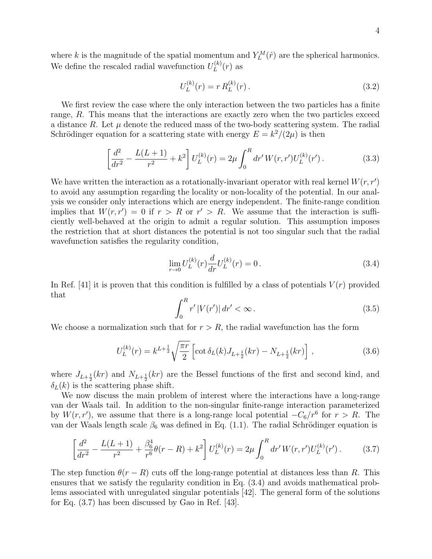where k is the magnitude of the spatial momentum and  $Y_L^M(\hat{r})$  are the spherical harmonics. We define the rescaled radial wavefunction  $U_L^{(k)}$  $L^{(\kappa)}(r)$  as

$$
U_L^{(k)}(r) = r R_L^{(k)}(r).
$$
\n(3.2)

We first review the case where the only interaction between the two particles has a finite range, R. This means that the interactions are exactly zero when the two particles exceed a distance R. Let  $\mu$  denote the reduced mass of the two-body scattering system. The radial Schrödinger equation for a scattering state with energy  $E = k^2/(2\mu)$  is then

$$
\left[\frac{d^2}{dr^2} - \frac{L(L+1)}{r^2} + k^2\right]U_L^{(k)}(r) = 2\mu \int_0^R dr' W(r, r')U_L^{(k)}(r'). \tag{3.3}
$$

We have written the interaction as a rotationally-invariant operator with real kernel  $W(r, r')$ to avoid any assumption regarding the locality or non-locality of the potential. In our analysis we consider only interactions which are energy independent. The finite-range condition implies that  $W(r, r') = 0$  if  $r > R$  or  $r' > R$ . We assume that the interaction is sufficiently well-behaved at the origin to admit a regular solution. This assumption imposes the restriction that at short distances the potential is not too singular such that the radial wavefunction satisfies the regularity condition,

$$
\lim_{r \to 0} U_L^{(k)}(r) \frac{d}{dr} U_L^{(k)}(r) = 0.
$$
\n(3.4)

In Ref. [41] it is proven that this condition is fulfilled by a class of potentials  $V(r)$  provided that

$$
\int_0^R r' |V(r')| \, dr' < \infty \,. \tag{3.5}
$$

We choose a normalization such that for  $r > R$ , the radial wavefunction has the form

$$
U_L^{(k)}(r) = k^{L + \frac{1}{2}} \sqrt{\frac{\pi r}{2}} \left[ \cot \delta_L(k) J_{L + \frac{1}{2}}(kr) - N_{L + \frac{1}{2}}(kr) \right],
$$
\n(3.6)

where  $J_{L+\frac{1}{2}}(kr)$  and  $N_{L+\frac{1}{2}}(kr)$  are the Bessel functions of the first and second kind, and  $\delta_L(k)$  is the scattering phase shift.

We now discuss the main problem of interest where the interactions have a long-range van der Waals tail. In addition to the non-singular finite-range interaction parameterized by  $W(r, r')$ , we assume that there is a long-range local potential  $-C_6/r^6$  for  $r > R$ . The van der Waals length scale  $\beta_6$  was defined in Eq. (1.1). The radial Schrödinger equation is

$$
\left[\frac{d^2}{dr^2} - \frac{L(L+1)}{r^2} + \frac{\beta_6^4}{r^6} \theta(r-R) + k^2\right] U_L^{(k)}(r) = 2\mu \int_0^R dr' W(r,r') U_L^{(k)}(r'). \tag{3.7}
$$

The step function  $\theta(r - R)$  cuts off the long-range potential at distances less than R. This ensures that we satisfy the regularity condition in Eq. (3.4) and avoids mathematical problems associated with unregulated singular potentials [42]. The general form of the solutions for Eq. (3.7) has been discussed by Gao in Ref. [43].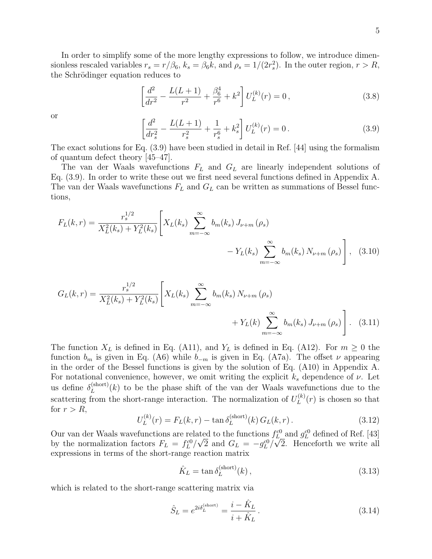In order to simplify some of the more lengthy expressions to follow, we introduce dimensionless rescaled variables  $r_s = r/\beta_6$ ,  $k_s = \beta_6 k$ , and  $\rho_s = 1/(2r_s^2)$ . In the outer region,  $r > R$ , the Schrödinger equation reduces to

$$
\left[\frac{d^2}{dr^2} - \frac{L(L+1)}{r^2} + \frac{\beta_6^4}{r^6} + k^2\right]U_L^{(k)}(r) = 0\,,\tag{3.8}
$$

or

$$
\left[\frac{d^2}{dr_s^2} - \frac{L(L+1)}{r_s^2} + \frac{1}{r_s^6} + k_s^2\right]U_L^{(k)}(r) = 0.
$$
\n(3.9)

The exact solutions for Eq. (3.9) have been studied in detail in Ref. [44] using the formalism of quantum defect theory [45–47].

The van der Waals wavefunctions  $F<sub>L</sub>$  and  $G<sub>L</sub>$  are linearly independent solutions of Eq. (3.9). In order to write these out we first need several functions defined in Appendix A. The van der Waals wavefunctions  $F<sub>L</sub>$  and  $G<sub>L</sub>$  can be written as summations of Bessel functions,

$$
F_L(k,r) = \frac{r_s^{1/2}}{X_L^2(k_s) + Y_L^2(k_s)} \left[ X_L(k_s) \sum_{m=-\infty}^{\infty} b_m(k_s) J_{\nu+m}(\rho_s) - Y_L(k_s) \sum_{m=-\infty}^{\infty} b_m(k_s) N_{\nu+m}(\rho_s) \right], \quad (3.10)
$$

$$
G_{L}(k,r) = \frac{r_{s}^{1/2}}{X_{L}^{2}(k_{s}) + Y_{L}^{2}(k_{s})} \left[ X_{L}(k_{s}) \sum_{m=-\infty}^{\infty} b_{m}(k_{s}) N_{\nu+m}(\rho_{s}) + Y_{L}(k) \sum_{m=-\infty}^{\infty} b_{m}(k_{s}) J_{\nu+m}(\rho_{s}) \right].
$$
 (3.11)

The function  $X_L$  is defined in Eq. (A11), and  $Y_L$  is defined in Eq. (A12). For  $m \geq 0$  the function  $b_m$  is given in Eq. (A6) while  $b_{-m}$  is given in Eq. (A7a). The offset  $\nu$  appearing in the order of the Bessel functions is given by the solution of Eq. (A10) in Appendix A. For notational convenience, however, we omit writing the explicit  $k_s$  dependence of  $\nu$ . Let us define  $\delta_L^{\text{(short)}}$  $L_L^{\text{(short)}}(k)$  to be the phase shift of the van der Waals wavefunctions due to the scattering from the short-range interaction. The normalization of  $U_L^{(k)}$  $L^{(k)}(r)$  is chosen so that for  $r > R$ ,

$$
U_L^{(k)}(r) = F_L(k, r) - \tan \delta_L^{(\text{short})}(k) G_L(k, r).
$$
 (3.12)

Our van der Waals wavefunctions are related to the functions  $f_L^{c0}$  and  $g_L^{c0}$  defined of Ref. [43] by the normalization factors  $F_L = f_L^{c0}/\sqrt{2}$  and  $G_L = -g_L^{c0}/\sqrt{2}$ . Henceforth we write all expressions in terms of the short-range reaction matrix

$$
\hat{K}_L = \tan \delta_L^{\text{(short)}}(k) \,,\tag{3.13}
$$

which is related to the short-range scattering matrix via

$$
\hat{S}_L = e^{2i\delta_L^{(\text{short})}} = \frac{i - \hat{K}_L}{i + \hat{K}_L}.
$$
\n(3.14)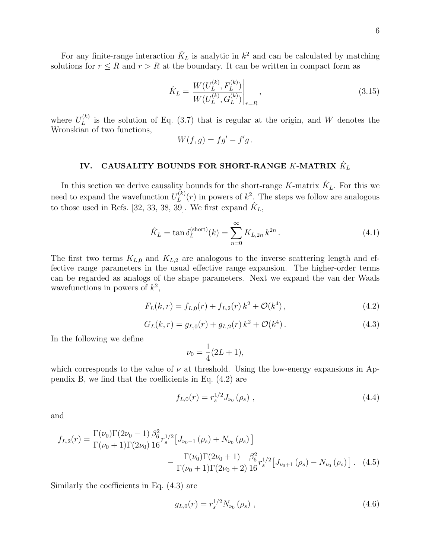6

For any finite-range interaction  $\hat{K}_L$  is analytic in  $k^2$  and can be calculated by matching solutions for  $r \leq R$  and  $r > R$  at the boundary. It can be written in compact form as

$$
\hat{K}_L = \frac{W(U_L^{(k)}, F_L^{(k)})}{W(U_L^{(k)}, G_L^{(k)})}\Big|_{r=R},
$$
\n(3.15)

where  $U_L^{(k)}$  $L^{(k)}$  is the solution of Eq. (3.7) that is regular at the origin, and W denotes the Wronskian of two functions,

$$
W(f,g) = fg' - f'g.
$$

# IV.  $\,$  CAUSALITY BOUNDS FOR SHORT-RANGE  $K$ -MATRIX  $\hat{K}_L$

In this section we derive causality bounds for the short-range K-matrix  $\hat{K}_L$ . For this we need to expand the wavefunction  $U_L^{(k)}$  $L^{(k)}(r)$  in powers of  $k^2$ . The steps we follow are analogous to those used in Refs. [32, 33, 38, 39]. We first expand  $\hat{K}_L$ ,

$$
\hat{K}_L = \tan \delta_L^{(\text{short})}(k) = \sum_{n=0}^{\infty} K_{L,2n} k^{2n} .
$$
\n(4.1)

The first two terms  $K_{L,0}$  and  $K_{L,2}$  are analogous to the inverse scattering length and effective range parameters in the usual effective range expansion. The higher-order terms can be regarded as analogs of the shape parameters. Next we expand the van der Waals wavefunctions in powers of  $k^2$ ,

$$
F_L(k,r) = f_{L,0}(r) + f_{L,2}(r) k^2 + \mathcal{O}(k^4), \qquad (4.2)
$$

$$
G_L(k,r) = g_{L,0}(r) + g_{L,2}(r) k^2 + \mathcal{O}(k^4).
$$
 (4.3)

In the following we define

$$
\nu_0 = \frac{1}{4}(2L+1),
$$

which corresponds to the value of  $\nu$  at threshold. Using the low-energy expansions in Appendix B, we find that the coefficients in Eq. (4.2) are

$$
f_{L,0}(r) = r_s^{1/2} J_{\nu_0}(\rho_s) \tag{4.4}
$$

and

$$
f_{L,2}(r) = \frac{\Gamma(\nu_0)\Gamma(2\nu_0 - 1)}{\Gamma(\nu_0 + 1)\Gamma(2\nu_0)} \frac{\beta_6^2}{16} r_s^{1/2} \left[ J_{\nu_0 - 1}(\rho_s) + N_{\nu_0}(\rho_s) \right] - \frac{\Gamma(\nu_0)\Gamma(2\nu_0 + 1)}{\Gamma(\nu_0 + 1)\Gamma(2\nu_0 + 2)} \frac{\beta_6^2}{16} r_s^{1/2} \left[ J_{\nu_0 + 1}(\rho_s) - N_{\nu_0}(\rho_s) \right].
$$
 (4.5)

Similarly the coefficients in Eq. (4.3) are

$$
g_{L,0}(r) = r_s^{1/2} N_{\nu_0}(\rho_s) \tag{4.6}
$$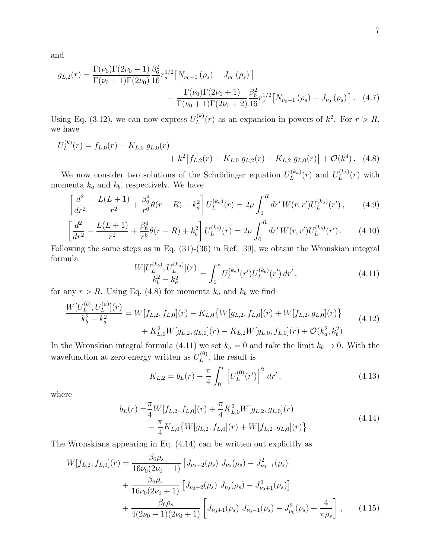and

$$
g_{L,2}(r) = \frac{\Gamma(\nu_0)\Gamma(2\nu_0 - 1)}{\Gamma(\nu_0 + 1)\Gamma(2\nu_0)} \frac{\beta_6^2}{16} r_s^{1/2} \left[ N_{\nu_0 - 1}(\rho_s) - J_{\nu_0}(\rho_s) \right] - \frac{\Gamma(\nu_0)\Gamma(2\nu_0 + 1)}{\Gamma(\nu_0 + 1)\Gamma(2\nu_0 + 2)} \frac{\beta_6^2}{16} r_s^{1/2} \left[ N_{\nu_0 + 1}(\rho_s) + J_{\nu_0}(\rho_s) \right].
$$
 (4.7)

Using Eq. (3.12), we can now express  $U_L^{(k)}$  $L^{(k)}(r)$  as an expansion in powers of  $k^2$ . For  $r > R$ , we have

$$
U_L^{(k)}(r) = f_{L,0}(r) - K_{L,0} g_{L,0}(r) + k^2 [f_{L,2}(r) - K_{L,0} g_{L,2}(r) - K_{L,2} g_{L,0}(r)] + \mathcal{O}(k^4). \tag{4.8}
$$

We now consider two solutions of the Schrödinger equation  $U_L^{(k_a)}$  $L_L^{(k_a)}(r)$  and  $U_L^{(k_b)}$  $L^{(\kappa_b)}(r)$  with momenta  $k_a$  and  $k_b$ , respectively. We have

$$
\left[\frac{d^2}{dr^2} - \frac{L(L+1)}{r^2} + \frac{\beta_6^4}{r^6} \theta(r-R) + k_a^2\right] U_L^{(k_a)}(r) = 2\mu \int_0^R dr' W(r,r') U_L^{(k_a)}(r')\,,\tag{4.9}
$$

$$
\left[\frac{d^2}{dr^2} - \frac{L(L+1)}{r^2} + \frac{\beta_6^4}{r^6} \theta(r-R) + k_b^2\right] U_L^{(k_b)}(r) = 2\mu \int_0^R dr' W(r,r') U_L^{(k_b)}(r') \,. \tag{4.10}
$$

Following the same steps as in Eq. (31)-(36) in Ref. [39], we obtain the Wronskian integral formula

$$
\frac{W[U_L^{(k_b)}, U_L^{(k_a)}](r)}{k_b^2 - k_a^2} = \int_0^r U_L^{(k_a)}(r')U_L^{(k_b)}(r') dr',\tag{4.11}
$$

for any  $r > R$ . Using Eq. (4.8) for momenta  $k_a$  and  $k_b$  we find

$$
\frac{W[U_L^{(b)}, U_L^{(a)}](r)}{k_b^2 - k_a^2} = W[f_{L,2}, f_{L,0}](r) - K_{L,0} \{ W[g_{L,2}, f_{L,0}](r) + W[f_{L,2}, g_{L,0}](r) \} + K_{L,0}^2 W[g_{L,2}, g_{L,0}](r) - K_{L,2} W[g_{L,0}, f_{L,0}](r) + \mathcal{O}(k_a^2, k_b^2)
$$
\n(4.12)

In the Wronskian integral formula (4.11) we set  $k_a = 0$  and take the limit  $k_b \to 0$ . With the wavefunction at zero energy written as  $U_L^{(0)}$  $L^{(0)}$ , the result is

$$
K_{L,2} = b_L(r) - \frac{\pi}{4} \int_0^r \left[ U_L^{(0)}(r') \right]^2 dr', \qquad (4.13)
$$

where

$$
b_L(r) = \frac{\pi}{4} W[f_{L,2}, f_{L,0}](r) + \frac{\pi}{4} K_{L,0}^2 W[g_{L,2}, g_{L,0}](r)
$$
  

$$
- \frac{\pi}{4} K_{L,0} \{ W[g_{L,2}, f_{L,0}](r) + W[f_{L,2}, g_{L,0}](r) \}.
$$
 (4.14)

The Wronskians appearing in Eq. (4.14) can be written out explicitly as

$$
W[f_{L,2}, f_{L,0}](r) = \frac{\beta_6 \rho_s}{16 \nu_0 (2\nu_0 - 1)} \left[ J_{\nu_0 - 2}(\rho_s) J_{\nu_0}(\rho_s) - J_{\nu_0 - 1}^2(\rho_s) \right] + \frac{\beta_6 \rho_s}{16 \nu_0 (2\nu_0 + 1)} \left[ J_{\nu_0 + 2}(\rho_s) J_{\nu_0}(\rho_s) - J_{\nu_0 + 1}^2(\rho_s) \right] + \frac{\beta_6 \rho_s}{4(2\nu_0 - 1)(2\nu_0 + 1)} \left[ J_{\nu_0 + 1}(\rho_s) J_{\nu_0 - 1}(\rho_s) - J_{\nu_0}^2(\rho_s) + \frac{4}{\pi \rho_s} \right], \qquad (4.15)
$$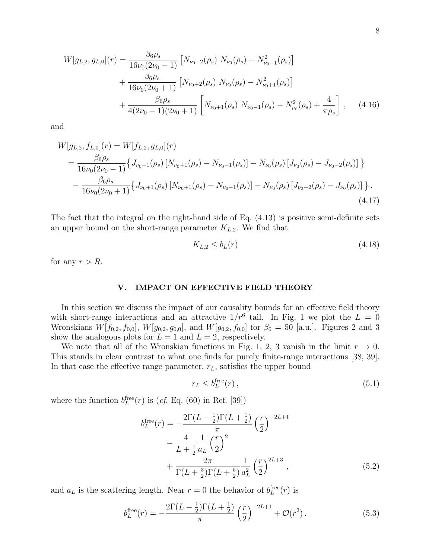$$
W[g_{L,2}, g_{L,0}](r) = \frac{\beta_6 \rho_s}{16 \nu_0 (2 \nu_0 - 1)} \left[ N_{\nu_0 - 2}(\rho_s) N_{\nu_0}(\rho_s) - N_{\nu_0 - 1}^2(\rho_s) \right] + \frac{\beta_6 \rho_s}{16 \nu_0 (2 \nu_0 + 1)} \left[ N_{\nu_0 + 2}(\rho_s) N_{\nu_0}(\rho_s) - N_{\nu_0 + 1}^2(\rho_s) \right] + \frac{\beta_6 \rho_s}{4(2 \nu_0 - 1)(2 \nu_0 + 1)} \left[ N_{\nu_0 + 1}(\rho_s) N_{\nu_0 - 1}(\rho_s) - N_{\nu_0}^2(\rho_s) + \frac{4}{\pi \rho_s} \right], \quad (4.16)
$$

and

$$
W[g_{L,2}, f_{L,0}](r) = W[f_{L,2}, g_{L,0}](r)
$$
  
= 
$$
\frac{\beta_6 \rho_s}{16\nu_0(2\nu_0 - 1)} \{J_{\nu_0 - 1}(\rho_s) [N_{\nu_0 + 1}(\rho_s) - N_{\nu_0 - 1}(\rho_s)] - N_{\nu_0}(\rho_s) [J_{\nu_0}(\rho_s) - J_{\nu_0 - 2}(\rho_s)] \}
$$
  
- 
$$
\frac{\beta_6 \rho_s}{16\nu_0(2\nu_0 + 1)} \{J_{\nu_0 + 1}(\rho_s) [N_{\nu_0 + 1}(\rho_s) - N_{\nu_0 - 1}(\rho_s)] - N_{\nu_0}(\rho_s) [J_{\nu_0 + 2}(\rho_s) - J_{\nu_0}(\rho_s)] \}.
$$
(4.17)

The fact that the integral on the right-hand side of Eq. (4.13) is positive semi-definite sets an upper bound on the short-range parameter  $K_{L,2}$ . We find that

$$
K_{L,2} \le b_L(r) \tag{4.18}
$$

for any  $r > R$ .

# V. IMPACT ON EFFECTIVE FIELD THEORY

In this section we discuss the impact of our causality bounds for an effective field theory with short-range interactions and an attractive  $1/r^6$  tail. In Fig. 1 we plot the  $L = 0$ Wronskians  $W[f_{0,2}, f_{0,0}], W[g_{0,2}, g_{0,0}],$  and  $W[g_{0,2}, f_{0,0}]$  for  $\beta_6 = 50$  [a.u.]. Figures 2 and 3 show the analogous plots for  $L = 1$  and  $L = 2$ , respectively.

We note that all of the Wronskian functions in Fig. 1, 2, 3 vanish in the limit  $r \to 0$ . This stands in clear contrast to what one finds for purely finite-range interactions [38, 39]. In that case the effective range parameter,  $r<sub>L</sub>$ , satisfies the upper bound

$$
r_L \le b_L^{\text{free}}(r) \,,\tag{5.1}
$$

where the function  $b_L^{\text{free}}(r)$  is (*cf.* Eq. (60) in Ref. [39])

$$
b_L^{\text{free}}(r) = -\frac{2\Gamma(L - \frac{1}{2})\Gamma(L + \frac{1}{2})}{\pi} \left(\frac{r}{2}\right)^{-2L+1} - \frac{4}{L + \frac{1}{2}a_L} \left(\frac{r}{2}\right)^2 + \frac{2\pi}{\Gamma(L + \frac{3}{2})\Gamma(L + \frac{5}{2})} \frac{1}{a_L^2} \left(\frac{r}{2}\right)^{2L+3},
$$
(5.2)

and  $a<sub>L</sub>$  is the scattering length. Near  $r = 0$  the behavior of  $b<sub>L</sub><sup>free</sup>(r)$  is

$$
b_{L}^{\text{free}}(r) = -\frac{2\Gamma(L - \frac{1}{2})\Gamma(L + \frac{1}{2})}{\pi} \left(\frac{r}{2}\right)^{-2L+1} + \mathcal{O}(r^{2}). \tag{5.3}
$$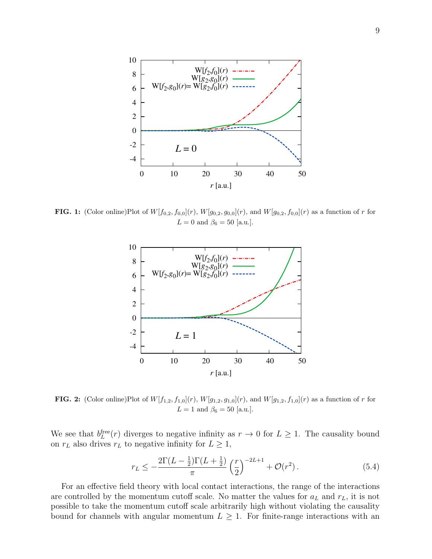

**FIG. 1:** (Color online)Plot of  $W[f_{0,2}, f_{0,0}](r)$ ,  $W[g_{0,2}, g_{0,0}](r)$ , and  $W[g_{0,2}, f_{0,0}](r)$  as a function of r for  $L = 0$  and  $\beta_6 = 50$  [a.u.].



**FIG. 2:** (Color online)Plot of  $W[f_{1,2}, f_{1,0}](r)$ ,  $W[g_{1,2}, g_{1,0}](r)$ , and  $W[g_{1,2}, f_{1,0}](r)$  as a function of r for  $L = 1$  and  $\beta_6 = 50$  [a.u.].

We see that  $b_L^{\text{free}}(r)$  diverges to negative infinity as  $r \to 0$  for  $L \geq 1$ . The causality bound on  $r<sub>L</sub>$  also drives  $r<sub>L</sub>$  to negative infinity for  $L \geq 1$ ,

$$
r_L \le -\frac{2\Gamma(L - \frac{1}{2})\Gamma(L + \frac{1}{2})}{\pi} \left(\frac{r}{2}\right)^{-2L+1} + \mathcal{O}(r^2). \tag{5.4}
$$

For an effective field theory with local contact interactions, the range of the interactions are controlled by the momentum cutoff scale. No matter the values for  $a<sub>L</sub>$  and  $r<sub>L</sub>$ , it is not possible to take the momentum cutoff scale arbitrarily high without violating the causality bound for channels with angular momentum  $L \geq 1$ . For finite-range interactions with an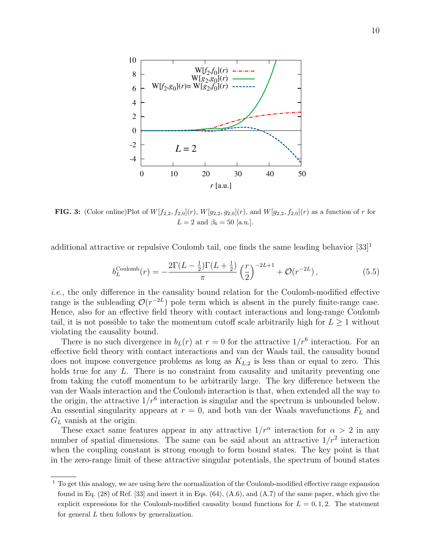

**FIG. 3:** (Color online)Plot of  $W[f_{2,2}, f_{2,0}](r)$ ,  $W[g_{2,2}, g_{2,0}](r)$ , and  $W[g_{2,2}, f_{2,0}](r)$  as a function of r for  $L = 2$  and  $\beta_6 = 50$  [a.u.].

additional attractive or repulsive Coulomb tail, one finds the same leading behavior  $[33]$ <sup>1</sup>

$$
b_L^{\text{Coulomb}}(r) = -\frac{2\Gamma(L - \frac{1}{2})\Gamma(L + \frac{1}{2})}{\pi} \left(\frac{r}{2}\right)^{-2L+1} + \mathcal{O}(r^{-2L}),\tag{5.5}
$$

i.e., the only difference in the causality bound relation for the Coulomb-modified effective range is the subleading  $\mathcal{O}(r^{-2L})$  pole term which is absent in the purely finite-range case. Hence, also for an effective field theory with contact interactions and long-range Coulomb tail, it is not possible to take the momentum cutoff scale arbitrarily high for  $L \geq 1$  without violating the causality bound.

There is no such divergence in  $b_L(r)$  at  $r=0$  for the attractive  $1/r^6$  interaction. For an effective field theory with contact interactions and van der Waals tail, the causality bound does not impose convergence problems as long as  $K_{L,2}$  is less than or equal to zero. This holds true for any L. There is no constraint from causality and unitarity preventing one from taking the cutoff momentum to be arbitrarily large. The key difference between the van der Waals interaction and the Coulomb interaction is that, when extended all the way to the origin, the attractive  $1/r^6$  interaction is singular and the spectrum is unbounded below. An essential singularity appears at  $r = 0$ , and both van der Waals wavefunctions  $F<sub>L</sub>$  and  $G_L$  vanish at the origin.

These exact same features appear in any attractive  $1/r^{\alpha}$  interaction for  $\alpha > 2$  in any number of spatial dimensions. The same can be said about an attractive  $1/r^2$  interaction when the coupling constant is strong enough to form bound states. The key point is that in the zero-range limit of these attractive singular potentials, the spectrum of bound states

<sup>&</sup>lt;sup>1</sup> To get this analogy, we are using here the normalization of the Coulomb-modified effective range expansion found in Eq.  $(28)$  of Ref. [33] and insert it in Eqs.  $(64)$ ,  $(A.6)$ , and  $(A.7)$  of the same paper, which give the explicit expressions for the Coulomb-modified causality bound functions for  $L = 0, 1, 2$ . The statement for general L then follows by generalization.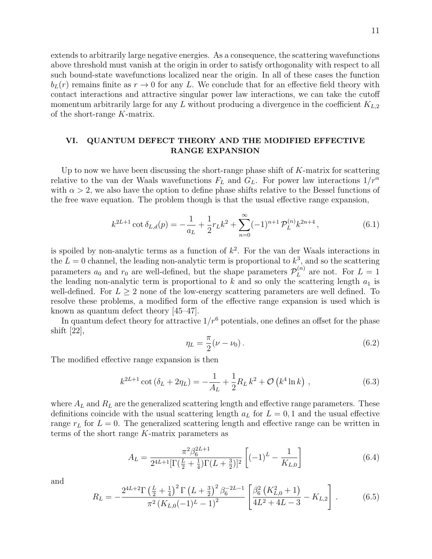extends to arbitrarily large negative energies. As a consequence, the scattering wavefunctions above threshold must vanish at the origin in order to satisfy orthogonality with respect to all such bound-state wavefunctions localized near the origin. In all of these cases the function  $b_L(r)$  remains finite as  $r \to 0$  for any L. We conclude that for an effective field theory with contact interactions and attractive singular power law interactions, we can take the cutoff momentum arbitrarily large for any L without producing a divergence in the coefficient  $K_{L,2}$ of the short-range K-matrix.

# VI. QUANTUM DEFECT THEORY AND THE MODIFIED EFFECTIVE RANGE EXPANSION

Up to now we have been discussing the short-range phase shift of  $K$ -matrix for scattering relative to the van der Waals wavefunctions  $F<sub>L</sub>$  and  $G<sub>L</sub>$ . For power law interactions  $1/r^{\alpha}$ with  $\alpha > 2$ , we also have the option to define phase shifts relative to the Bessel functions of the free wave equation. The problem though is that the usual effective range expansion,

$$
k^{2L+1}\cot\delta_{L,d}(p) = -\frac{1}{a_L} + \frac{1}{2}r_Lk^2 + \sum_{n=0}^{\infty} (-1)^{n+1} \mathcal{P}_L^{(n)}k^{2n+4},\tag{6.1}
$$

is spoiled by non-analytic terms as a function of  $k^2$ . For the van der Waals interactions in the  $L = 0$  channel, the leading non-analytic term is proportional to  $k^3$ , and so the scattering parameters  $a_0$  and  $r_0$  are well-defined, but the shape parameters  $\mathcal{P}_L^{(n)}$  $L^{(n)}$  are not. For  $L=1$ the leading non-analytic term is proportional to  $k$  and so only the scattering length  $a_1$  is well-defined. For  $L > 2$  none of the low-energy scattering parameters are well defined. To resolve these problems, a modified form of the effective range expansion is used which is known as quantum defect theory [45–47].

In quantum defect theory for attractive  $1/r^6$  potentials, one defines an offset for the phase shift [22],

$$
\eta_L = \frac{\pi}{2} (\nu - \nu_0). \tag{6.2}
$$

The modified effective range expansion is then

$$
k^{2L+1}\cot\left(\delta_L + 2\eta_L\right) = -\frac{1}{A_L} + \frac{1}{2}R_L k^2 + \mathcal{O}\left(k^4 \ln k\right) ,\qquad (6.3)
$$

where  $A_L$  and  $R_L$  are the generalized scattering length and effective range parameters. These definitions coincide with the usual scattering length  $a<sub>L</sub>$  for  $L = 0, 1$  and the usual effective range  $r<sub>L</sub>$  for  $L = 0$ . The generalized scattering length and effective range can be written in terms of the short range K-matrix parameters as

$$
A_L = \frac{\pi^2 \beta_6^{2L+1}}{2^{4L+1} [\Gamma(\frac{L}{2} + \frac{1}{4}) \Gamma(L + \frac{3}{2})]^2} \left[ (-1)^L - \frac{1}{K_{L,0}} \right]
$$
(6.4)

and

$$
R_L = -\frac{2^{4L+2}\Gamma\left(\frac{L}{2} + \frac{1}{4}\right)^2 \Gamma\left(L + \frac{3}{2}\right)^2 \beta_6^{-2L-1}}{\pi^2 \left(K_{L,0}(-1)^L - 1\right)^2} \left[\frac{\beta_6^2 \left(K_{L,0}^2 + 1\right)}{4L^2 + 4L - 3} - K_{L,2}\right].
$$
 (6.5)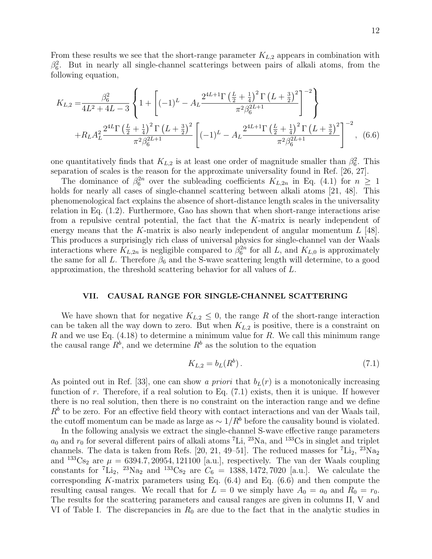From these results we see that the short-range parameter  $K_{L,2}$  appears in combination with  $\beta_6^2$ . But in nearly all single-channel scatterings between pairs of alkali atoms, from the following equation,

$$
K_{L,2} = \frac{\beta_6^2}{4L^2 + 4L - 3} \left\{ 1 + \left[ (-1)^L - A_L \frac{2^{4L+1} \Gamma\left(\frac{L}{2} + \frac{1}{4}\right)^2 \Gamma\left(L + \frac{3}{2}\right)^2}{\pi^2 \beta_6^{2L+1}} \right]^{-2} \right\}
$$
  
+ 
$$
R_L A_L^2 \frac{2^{4L} \Gamma\left(\frac{L}{2} + \frac{1}{4}\right)^2 \Gamma\left(L + \frac{3}{2}\right)^2}{\pi^2 \beta_6^{2L+1}} \left[ (-1)^L - A_L \frac{2^{4L+1} \Gamma\left(\frac{L}{2} + \frac{1}{4}\right)^2 \Gamma\left(L + \frac{3}{2}\right)^2}{\pi^2 \beta_6^{2L+1}} \right]^{-2}, \quad (6.6)
$$

one quantitatively finds that  $K_{L,2}$  is at least one order of magnitude smaller than  $\beta_6^2$ . This separation of scales is the reason for the approximate universality found in Ref. [26, 27].

The dominance of  $\beta_6^{2n}$  over the subleading coefficients  $K_{L,2n}$  in Eq. (4.1) for  $n \geq 1$ holds for nearly all cases of single-channel scattering between alkali atoms [21, 48]. This phenomenological fact explains the absence of short-distance length scales in the universality relation in Eq. (1.2). Furthermore, Gao has shown that when short-range interactions arise from a repulsive central potential, the fact that the K-matrix is nearly independent of energy means that the K-matrix is also nearly independent of angular momentum  $L$  [48]. This produces a surprisingly rich class of universal physics for single-channel van der Waals interactions where  $K_{L,2n}$  is negligible compared to  $\beta_6^{2n}$  for all L, and  $K_{L,0}$  is approximately the same for all L. Therefore  $\beta_6$  and the S-wave scattering length will determine, to a good approximation, the threshold scattering behavior for all values of L.

## VII. CAUSAL RANGE FOR SINGLE-CHANNEL SCATTERING

We have shown that for negative  $K_{L,2} \leq 0$ , the range R of the short-range interaction can be taken all the way down to zero. But when  $K_{L,2}$  is positive, there is a constraint on R and we use Eq.  $(4.18)$  to determine a minimum value for R. We call this minimum range the causal range  $R^b$ , and we determine  $R^b$  as the solution to the equation

$$
K_{L,2} = b_L(R^b). \t\t(7.1)
$$

As pointed out in Ref. [33], one can show a priori that  $b<sub>L</sub>(r)$  is a monotonically increasing function of  $r$ . Therefore, if a real solution to Eq.  $(7.1)$  exists, then it is unique. If however there is no real solution, then there is no constraint on the interaction range and we define  $R<sup>b</sup>$  to be zero. For an effective field theory with contact interactions and van der Waals tail, the cutoff momentum can be made as large as  $\sim 1/R^b$  before the causality bound is violated.

In the following analysis we extract the single-channel S-wave effective range parameters  $a_0$  and  $r_0$  for several different pairs of alkali atoms <sup>7</sup>Li, <sup>23</sup>Na, and <sup>133</sup>Cs in singlet and triplet channels. The data is taken from Refs. [20, 21, 49–51]. The reduced masses for  ${}^{7}Li_2$ ,  ${}^{23}Na_2$ and <sup>133</sup>Cs<sub>2</sub> are  $\mu = 6394.7, 20954, 121100$  [a.u.], respectively. The van der Waals coupling constants for  ${}^{7}Li_2$ ,  ${}^{23}Na_2$  and  ${}^{133}Cs_2$  are  $C_6 = 1388, 1472, 7020$  [a.u.]. We calculate the corresponding K-matrix parameters using Eq.  $(6.4)$  and Eq.  $(6.6)$  and then compute the resulting causal ranges. We recall that for  $L = 0$  we simply have  $A_0 = a_0$  and  $R_0 = r_0$ . The results for the scattering parameters and causal ranges are given in columns II, V and VI of Table I. The discrepancies in  $R_0$  are due to the fact that in the analytic studies in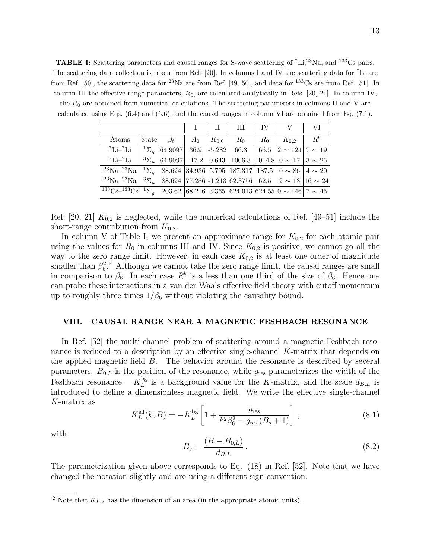**TABLE I:** Scattering parameters and causal ranges for S-wave scattering of  ${}^{7}$ Li, ${}^{23}$ Na, and  ${}^{133}$ Cs pairs. The scattering data collection is taken from Ref. [20]. In columns I and IV the scattering data for <sup>7</sup>Li are from Ref. [50], the scattering data for <sup>23</sup>Na are from Ref. [49, 50], and data for <sup>133</sup>Cs are from Ref. [51]. In column III the effective range parameters,  $R_0$ , are calculated analytically in Refs. [20, 21]. In column IV,

the  $R_0$  are obtained from numerical calculations. The scattering parameters in columns II and V are calculated using Eqs. (6.4) and (6.6), and the causal ranges in column VI are obtained from Eq. (7.1).

|                                                                                                                        |       |           |       | H         | Ш     | TV    |                                                                                           | VI                                                                         |
|------------------------------------------------------------------------------------------------------------------------|-------|-----------|-------|-----------|-------|-------|-------------------------------------------------------------------------------------------|----------------------------------------------------------------------------|
| Atoms                                                                                                                  | State | $\beta_6$ | $A_0$ | $K_{0,0}$ | $R_0$ | $R_0$ | $K_{0,2}$                                                                                 | $R^b$                                                                      |
| $^7$ Li $-^7$ Li                                                                                                       |       |           |       |           |       |       | $^{-1}\Sigma_a$ 64.9097 36.9 -5.282 66.3 66.5 $\left 2\sim124\right 7\sim19$              |                                                                            |
| ${}^{7}$ Li- ${}^{7}$ Li                                                                                               |       |           |       |           |       |       | $3\Sigma_u$ 64.9097 -17.2 0.643 1006.3 1014.8 0 ~ 17 3 ~ 25                               |                                                                            |
| $23$ Na <sup>-23</sup> Na                                                                                              |       |           |       |           |       |       | $^{-1}\Sigma_{q}$   88.624   34.936   5.705   187.317   187.5   0 $\sim$ 86   4 $\sim$ 20 |                                                                            |
| $^{23}Na^{-23}Na$                                                                                                      |       |           |       |           |       |       |                                                                                           | $3\Sigma_u$   88.624   77.286   -1.213   62.3756   62.5   2 ~ 13   16 ~ 24 |
| $133 \text{Cs} - 133 \text{Cs}$ $1 \Sigma_a$   203.62   68.216   3.365   624.013   624.55   0 $\sim$ 146   7 $\sim$ 45 |       |           |       |           |       |       |                                                                                           |                                                                            |

Ref. [20, 21]  $K_{0,2}$  is neglected, while the numerical calculations of Ref. [49–51] include the short-range contribution from  $K_{0,2}$ .

In column V of Table I, we present an approximate range for  $K_{0,2}$  for each atomic pair using the values for  $R_0$  in columns III and IV. Since  $K_{0,2}$  is positive, we cannot go all the way to the zero range limit. However, in each case  $K_{0,2}$  is at least one order of magnitude smaller than  $\beta_6^2$ . Although we cannot take the zero range limit, the causal ranges are small in comparison to  $\beta_6$ . In each case  $R^b$  is a less than one third of the size of  $\beta_6$ . Hence one can probe these interactions in a van der Waals effective field theory with cutoff momentum up to roughly three times  $1/\beta_6$  without violating the causality bound.

# VIII. CAUSAL RANGE NEAR A MAGNETIC FESHBACH RESONANCE

In Ref. [52] the multi-channel problem of scattering around a magnetic Feshbach resonance is reduced to a description by an effective single-channel K-matrix that depends on the applied magnetic field B. The behavior around the resonance is described by several parameters.  $B_{0,L}$  is the position of the resonance, while  $g_{\text{res}}$  parameterizes the width of the Feshbach resonance.  $K_L^{\text{bg}}$  $L_L^{\text{bg}}$  is a background value for the K-matrix, and the scale  $d_{B,L}$  is introduced to define a dimensionless magnetic field. We write the effective single-channel K-matrix as

$$
\hat{K}_L^{\text{eff}}(k, B) = -K_L^{\text{bg}} \left[ 1 + \frac{g_{\text{res}}}{k^2 \beta_6^2 - g_{\text{res}} \left( B_s + 1 \right)} \right],\tag{8.1}
$$

with

$$
B_s = \frac{(B - B_{0,L})}{d_{B,L}}.
$$
\n(8.2)

The parametrization given above corresponds to Eq. (18) in Ref. [52]. Note that we have changed the notation slightly and are using a different sign convention.

<sup>&</sup>lt;sup>2</sup> Note that  $K_{L,2}$  has the dimension of an area (in the appropriate atomic units).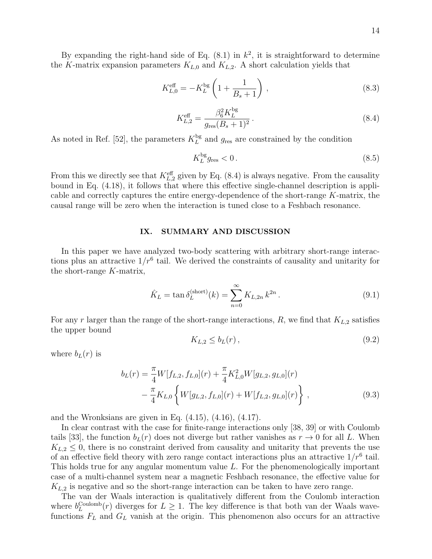By expanding the right-hand side of Eq.  $(8.1)$  in  $k^2$ , it is straightforward to determine the K-matrix expansion parameters  $K_{L,0}$  and  $K_{L,2}$ . A short calculation yields that

$$
K_{L,0}^{\text{eff}} = -K_L^{\text{bg}} \left( 1 + \frac{1}{B_s + 1} \right) ,\qquad (8.3)
$$

$$
K_{L,2}^{\text{eff}} = \frac{\beta_6^2 K_L^{\text{bg}}}{g_{\text{res}}(B_s + 1)^2} \,. \tag{8.4}
$$

As noted in Ref. [52], the parameters  $K_L^{\text{bg}}$  $L_L^{\text{bg}}$  and  $g_{\text{res}}$  are constrained by the condition

$$
K_L^{\text{bg}} g_{\text{res}} < 0. \tag{8.5}
$$

From this we directly see that  $K_{L,2}^{\text{eff}}$  given by Eq. (8.4) is always negative. From the causality bound in Eq. (4.18), it follows that where this effective single-channel description is applicable and correctly captures the entire energy-dependence of the short-range K-matrix, the causal range will be zero when the interaction is tuned close to a Feshbach resonance.

# IX. SUMMARY AND DISCUSSION

In this paper we have analyzed two-body scattering with arbitrary short-range interactions plus an attractive  $1/r^6$  tail. We derived the constraints of causality and unitarity for the short-range K-matrix,

$$
\hat{K}_L = \tan \delta_L^{(\text{short})}(k) = \sum_{n=0}^{\infty} K_{L,2n} k^{2n} .
$$
\n(9.1)

For any r larger than the range of the short-range interactions,  $R$ , we find that  $K_{L,2}$  satisfies the upper bound

$$
K_{L,2} \le b_L(r) \,,\tag{9.2}
$$

where  $b_L(r)$  is

$$
b_L(r) = \frac{\pi}{4} W[f_{L,2}, f_{L,0}](r) + \frac{\pi}{4} K_{L,0}^2 W[g_{L,2}, g_{L,0}](r)
$$

$$
- \frac{\pi}{4} K_{L,0} \left\{ W[g_{L,2}, f_{L,0}](r) + W[f_{L,2}, g_{L,0}](r) \right\},
$$
(9.3)

and the Wronksians are given in Eq. (4.15), (4.16), (4.17).

In clear contrast with the case for finite-range interactions only [38, 39] or with Coulomb tails [33], the function  $b_L(r)$  does not diverge but rather vanishes as  $r \to 0$  for all L. When  $K_{L,2} \leq 0$ , there is no constraint derived from causality and unitarity that prevents the use of an effective field theory with zero range contact interactions plus an attractive  $1/r^6$  tail. This holds true for any angular momentum value L. For the phenomenologically important case of a multi-channel system near a magnetic Feshbach resonance, the effective value for  $K_{L,2}$  is negative and so the short-range interaction can be taken to have zero range.

The van der Waals interaction is qualitatively different from the Coulomb interaction where  $b_L^{\text{Coulomb}}(r)$  diverges for  $L \geq 1$ . The key difference is that both van der Waals wavefunctions  $F<sub>L</sub>$  and  $G<sub>L</sub>$  vanish at the origin. This phenomenon also occurs for an attractive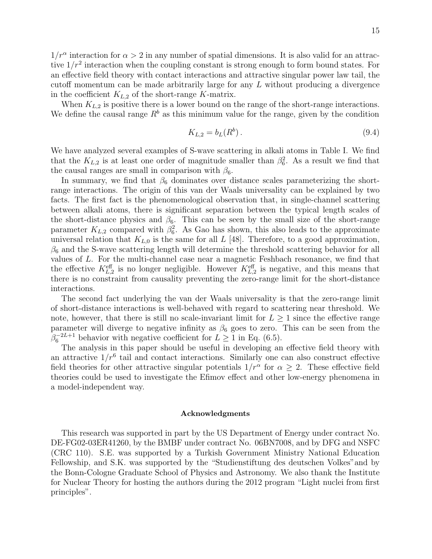$1/r^{\alpha}$  interaction for  $\alpha > 2$  in any number of spatial dimensions. It is also valid for an attractive  $1/r^2$  interaction when the coupling constant is strong enough to form bound states. For an effective field theory with contact interactions and attractive singular power law tail, the cutoff momentum can be made arbitrarily large for any L without producing a divergence in the coefficient  $K_{L,2}$  of the short-range K-matrix.

When  $K_{L,2}$  is positive there is a lower bound on the range of the short-range interactions. We define the causal range  $R<sup>b</sup>$  as this minimum value for the range, given by the condition

$$
K_{L,2} = b_L(R^b). \t\t(9.4)
$$

We have analyzed several examples of S-wave scattering in alkali atoms in Table I. We find that the  $K_{L,2}$  is at least one order of magnitude smaller than  $\beta_6^2$ . As a result we find that the causal ranges are small in comparison with  $\beta_6$ .

In summary, we find that  $\beta_6$  dominates over distance scales parameterizing the shortrange interactions. The origin of this van der Waals universality can be explained by two facts. The first fact is the phenomenological observation that, in single-channel scattering between alkali atoms, there is significant separation between the typical length scales of the short-distance physics and  $\beta_6$ . This can be seen by the small size of the short-range parameter  $K_{L,2}$  compared with  $\beta_6^2$ . As Gao has shown, this also leads to the approximate universal relation that  $K_{L,0}$  is the same for all L [48]. Therefore, to a good approximation,  $\beta_6$  and the S-wave scattering length will determine the threshold scattering behavior for all values of L. For the multi-channel case near a magnetic Feshbach resonance, we find that the effective  $K_{L,2}^{\text{eff}}$  is no longer negligible. However  $K_{L,2}^{\text{eff}}$  is negative, and this means that there is no constraint from causality preventing the zero-range limit for the short-distance interactions.

The second fact underlying the van der Waals universality is that the zero-range limit of short-distance interactions is well-behaved with regard to scattering near threshold. We note, however, that there is still no scale-invariant limit for  $L \geq 1$  since the effective range parameter will diverge to negative infinity as  $\beta_6$  goes to zero. This can be seen from the  $\beta_6^{-2L+1}$  behavior with negative coefficient for  $L \ge 1$  in Eq. (6.5).

The analysis in this paper should be useful in developing an effective field theory with an attractive  $1/r^6$  tail and contact interactions. Similarly one can also construct effective field theories for other attractive singular potentials  $1/r^{\alpha}$  for  $\alpha \geq 2$ . These effective field theories could be used to investigate the Efimov effect and other low-energy phenomena in a model-independent way.

### Acknowledgments

This research was supported in part by the US Department of Energy under contract No. DE-FG02-03ER41260, by the BMBF under contract No. 06BN7008, and by DFG and NSFC (CRC 110). S.E. was supported by a Turkish Government Ministry National Education Fellowship, and S.K. was supported by the "Studienstiftung des deutschen Volkes"and by the Bonn-Cologne Graduate School of Physics and Astronomy. We also thank the Institute for Nuclear Theory for hosting the authors during the 2012 program "Light nuclei from first principles".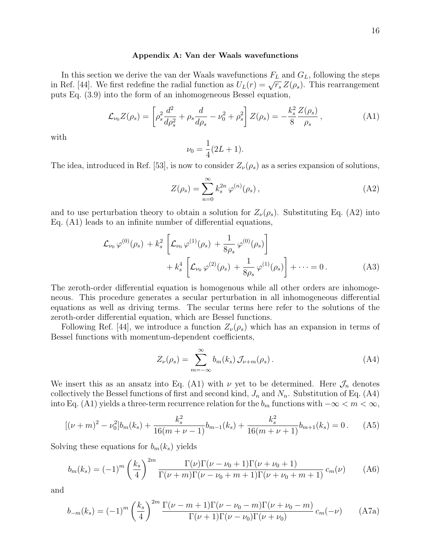#### Appendix A: Van der Waals wavefunctions

In this section we derive the van der Waals wavefunctions  $F<sub>L</sub>$  and  $G<sub>L</sub>$ , following the steps in this section we derive the van der waals wavefunctions  $r_L$  and  $G_L$ , following the steps<br>in Ref. [44]. We first redefine the radial function as  $U_L(r) = \sqrt{r_s} Z(\rho_s)$ . This rearrangement puts Eq. (3.9) into the form of an inhomogeneous Bessel equation,

$$
\mathcal{L}_{\nu_0} Z(\rho_s) = \left[ \rho_s^2 \frac{d^2}{d\rho_s^2} + \rho_s \frac{d}{d\rho_s} - \nu_0^2 + \rho_s^2 \right] Z(\rho_s) = -\frac{k_s^2}{8} \frac{Z(\rho_s)}{\rho_s},\tag{A1}
$$

with

$$
\nu_0 = \frac{1}{4}(2L+1).
$$

The idea, introduced in Ref. [53], is now to consider  $Z_{\nu}(\rho_s)$  as a series expansion of solutions,

$$
Z(\rho_s) = \sum_{n=0}^{\infty} k_s^{2n} \varphi^{(n)}(\rho_s), \qquad (A2)
$$

and to use perturbation theory to obtain a solution for  $Z_{\nu}(\rho_s)$ . Substituting Eq. (A2) into Eq. (A1) leads to an infinite number of differential equations,

$$
\mathcal{L}_{\nu_0} \varphi^{(0)}(\rho_s) + k_s^2 \left[ \mathcal{L}_{\nu_0} \varphi^{(1)}(\rho_s) + \frac{1}{8\rho_s} \varphi^{(0)}(\rho_s) \right] \n+ k_s^4 \left[ \mathcal{L}_{\nu_0} \varphi^{(2)}(\rho_s) + \frac{1}{8\rho_s} \varphi^{(1)}(\rho_s) \right] + \cdots = 0.
$$
\n(A3)

The zeroth-order differential equation is homogenous while all other orders are inhomogeneous. This procedure generates a secular perturbation in all inhomogeneous differential equations as well as driving terms. The secular terms here refer to the solutions of the zeroth-order differential equation, which are Bessel functions.

Following Ref. [44], we introduce a function  $Z_{\nu}(\rho_s)$  which has an expansion in terms of Bessel functions with momentum-dependent coefficients,

$$
Z_{\nu}(\rho_s) = \sum_{m=-\infty}^{\infty} b_m(k_s) \mathcal{J}_{\nu+m}(\rho_s).
$$
 (A4)

We insert this as an ansatz into Eq. (A1) with  $\nu$  yet to be determined. Here  $\mathcal{J}_n$  denotes collectively the Bessel functions of first and second kind,  $J_n$  and  $N_n$ . Substitution of Eq. (A4) into Eq. (A1) yields a three-term recurrence relation for the  $b_m$  functions with  $-\infty < m < \infty$ ,

$$
[(\nu + m)^2 - \nu_0^2]b_m(k_s) + \frac{k_s^2}{16(m + \nu - 1)}b_{m-1}(k_s) + \frac{k_s^2}{16(m + \nu + 1)}b_{m+1}(k_s) = 0.
$$
 (A5)

Solving these equations for  $b_m(k_s)$  yields

$$
b_m(k_s) = (-1)^m \left(\frac{k_s}{4}\right)^{2m} \frac{\Gamma(\nu)\Gamma(\nu - \nu_0 + 1)\Gamma(\nu + \nu_0 + 1)}{\Gamma(\nu + m)\Gamma(\nu - \nu_0 + m + 1)\Gamma(\nu + \nu_0 + m + 1)} c_m(\nu)
$$
 (A6)

and

$$
b_{-m}(k_s) = (-1)^m \left(\frac{k_s}{4}\right)^{2m} \frac{\Gamma(\nu - m + 1)\Gamma(\nu - \nu_0 - m)\Gamma(\nu + \nu_0 - m)}{\Gamma(\nu + 1)\Gamma(\nu - \nu_0)\Gamma(\nu + \nu_0)} c_m(-\nu)
$$
 (A7a)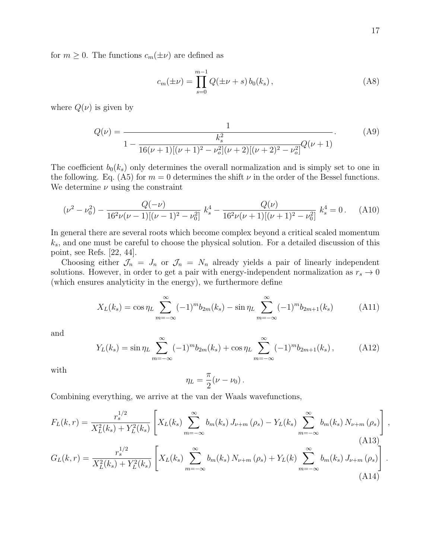for  $m \geq 0$ . The functions  $c_m(\pm \nu)$  are defined as

$$
c_m(\pm \nu) = \prod_{s=0}^{m-1} Q(\pm \nu + s) b_0(k_s), \qquad (A8)
$$

where  $Q(\nu)$  is given by

$$
Q(\nu) = \frac{1}{1 - \frac{k_s^2}{16(\nu + 1)[(\nu + 1)^2 - \nu_o^2](\nu + 2)[(\nu + 2)^2 - \nu_o^2]} Q(\nu + 1)}.
$$
 (A9)

The coefficient  $b_0(k_s)$  only determines the overall normalization and is simply set to one in the following. Eq. (A5) for  $m = 0$  determines the shift  $\nu$  in the order of the Bessel functions. We determine  $\nu$  using the constraint

$$
(\nu^2 - \nu_0^2) - \frac{Q(-\nu)}{16^2 \nu (\nu - 1)[(\nu - 1)^2 - \nu_0^2]} k_s^4 - \frac{Q(\nu)}{16^2 \nu (\nu + 1)[(\nu + 1)^2 - \nu_0^2]} k_s^4 = 0. \tag{A10}
$$

In general there are several roots which become complex beyond a critical scaled momentum  $k_s$ , and one must be careful to choose the physical solution. For a detailed discussion of this point, see Refs. [22, 44].

Choosing either  $\mathcal{J}_n = J_n$  or  $\mathcal{J}_n = N_n$  already yields a pair of linearly independent solutions. However, in order to get a pair with energy-independent normalization as  $r_s \to 0$ (which ensures analyticity in the energy), we furthermore define

$$
X_L(k_s) = \cos \eta_L \sum_{m=-\infty}^{\infty} (-1)^m b_{2m}(k_s) - \sin \eta_L \sum_{m=-\infty}^{\infty} (-1)^m b_{2m+1}(k_s)
$$
 (A11)

and

$$
Y_L(k_s) = \sin \eta_L \sum_{m=-\infty}^{\infty} (-1)^m b_{2m}(k_s) + \cos \eta_L \sum_{m=-\infty}^{\infty} (-1)^m b_{2m+1}(k_s), \tag{A12}
$$

with

$$
\eta_L = \frac{\pi}{2} (\nu - \nu_0) \, .
$$

Combining everything, we arrive at the van der Waals wavefunctions,

$$
F_{L}(k,r) = \frac{r_{s}^{1/2}}{X_{L}^{2}(k_{s}) + Y_{L}^{2}(k_{s})} \left[ X_{L}(k_{s}) \sum_{m=-\infty}^{\infty} b_{m}(k_{s}) J_{\nu+m}(\rho_{s}) - Y_{L}(k_{s}) \sum_{m=-\infty}^{\infty} b_{m}(k_{s}) N_{\nu+m}(\rho_{s}) \right],
$$
\n(A13)  
\n
$$
G_{L}(k,r) = \frac{r_{s}^{1/2}}{X_{L}^{2}(k_{s}) + Y_{L}^{2}(k_{s})} \left[ X_{L}(k_{s}) \sum_{m=-\infty}^{\infty} b_{m}(k_{s}) N_{\nu+m}(\rho_{s}) + Y_{L}(k) \sum_{m=-\infty}^{\infty} b_{m}(k_{s}) J_{\nu+m}(\rho_{s}) \right].
$$
\n(A14)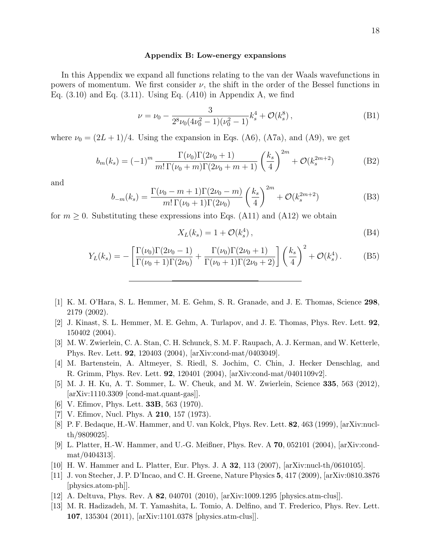### Appendix B: Low-energy expansions

In this Appendix we expand all functions relating to the van der Waals wavefunctions in powers of momentum. We first consider  $\nu$ , the shift in the order of the Bessel functions in Eq.  $(3.10)$  and Eq.  $(3.11)$ . Using Eq.  $(A10)$  in Appendix A, we find

$$
\nu = \nu_0 - \frac{3}{2^8 \nu_0 (4\nu_0^2 - 1)(\nu_0^2 - 1)} k_s^4 + \mathcal{O}(k_s^8), \tag{B1}
$$

where  $\nu_0 = (2L+1)/4$ . Using the expansion in Eqs. (A6), (A7a), and (A9), we get

$$
b_m(k_s) = (-1)^m \frac{\Gamma(\nu_0)\Gamma(2\nu_0 + 1)}{m!\,\Gamma(\nu_0 + m)\Gamma(2\nu_0 + m + 1)} \left(\frac{k_s}{4}\right)^{2m} + \mathcal{O}(k_s^{2m+2})
$$
(B2)

and

$$
b_{-m}(k_s) = \frac{\Gamma(\nu_0 - m + 1)\Gamma(2\nu_0 - m)}{m!\,\Gamma(\nu_0 + 1)\Gamma(2\nu_0)} \left(\frac{k_s}{4}\right)^{2m} + \mathcal{O}(k_s^{2m+2})
$$
(B3)

for  $m \geq 0$ . Substituting these expressions into Eqs. (A11) and (A12) we obtain

$$
X_L(k_s) = 1 + \mathcal{O}(k_s^4), \qquad (B4)
$$

$$
Y_L(k_s) = -\left[\frac{\Gamma(\nu_0)\Gamma(2\nu_0 - 1)}{\Gamma(\nu_0 + 1)\Gamma(2\nu_0)} + \frac{\Gamma(\nu_0)\Gamma(2\nu_0 + 1)}{\Gamma(\nu_0 + 1)\Gamma(2\nu_0 + 2)}\right] \left(\frac{k_s}{4}\right)^2 + \mathcal{O}(k_s^4). \tag{B5}
$$

- [1] K. M. O'Hara, S. L. Hemmer, M. E. Gehm, S. R. Granade, and J. E. Thomas, Science 298, 2179 (2002).
- [2] J. Kinast, S. L. Hemmer, M. E. Gehm, A. Turlapov, and J. E. Thomas, Phys. Rev. Lett. 92, 150402 (2004).
- [3] M. W. Zwierlein, C. A. Stan, C. H. Schunck, S. M. F. Raupach, A. J. Kerman, and W. Ketterle, Phys. Rev. Lett. 92, 120403 (2004), [arXiv:cond-mat/0403049].
- [4] M. Bartenstein, A. Altmeyer, S. Riedl, S. Jochim, C. Chin, J. Hecker Denschlag, and R. Grimm, Phys. Rev. Lett. 92, 120401 (2004), [arXiv:cond-mat/0401109v2].
- [5] M. J. H. Ku, A. T. Sommer, L. W. Cheuk, and M. W. Zwierlein, Science 335, 563 (2012), [arXiv:1110.3309 [cond-mat.quant-gas]].
- [6] V. Efimov, Phys. Lett. 33B, 563 (1970).
- [7] V. Efimov, Nucl. Phys. A **210**, 157 (1973).
- [8] P. F. Bedaque, H.-W. Hammer, and U. van Kolck, Phys. Rev. Lett. 82, 463 (1999), [arXiv:nuclth/9809025].
- [9] L. Platter, H.-W. Hammer, and U.-G. Meißner, Phys. Rev. A 70, 052101 (2004), [arXiv:condmat/0404313].
- [10] H. W. Hammer and L. Platter, Eur. Phys. J. A 32, 113 (2007), [arXiv:nucl-th/0610105].
- [11] J. von Stecher, J. P. D'Incao, and C. H. Greene, Nature Physics 5, 417 (2009), [arXiv:0810.3876 [physics.atom-ph]].
- [12] A. Deltuva, Phys. Rev. A 82, 040701 (2010), [arXiv:1009.1295 [physics.atm-clus]].
- [13] M. R. Hadizadeh, M. T. Yamashita, L. Tomio, A. Delfino, and T. Frederico, Phys. Rev. Lett. 107, 135304 (2011), [arXiv:1101.0378 [physics.atm-clus]].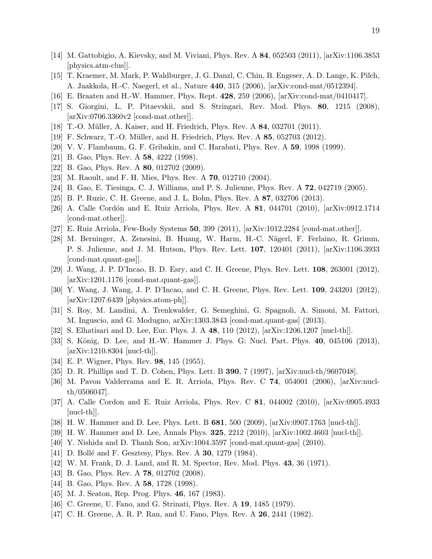- [14] M. Gattobigio, A. Kievsky, and M. Viviani, Phys. Rev. A 84, 052503 (2011), [arXiv:1106.3853 [physics.atm-clus]].
- [15] T. Kraemer, M. Mark, P. Waldburger, J. G. Danzl, C. Chin, B. Engeser, A. D. Lange, K. Pilch, A. Jaakkola, H.-C. Naegerl, et al., Nature 440, 315 (2006), [arXiv:cond-mat/0512394].
- [16] E. Braaten and H.-W. Hammer, Phys. Rept. 428, 259 (2006), [arXiv:cond-mat/0410417].
- [17] S. Giorgini, L. P. Pitaevskii, and S. Stringari, Rev. Mod. Phys. 80, 1215 (2008), [arXiv:0706.3360v2 [cond-mat.other]].
- [18] T.-O. Müller, A. Kaiser, and H. Friedrich, Phys. Rev. A **84**, 032701 (2011).
- [19] F. Schwarz, T.-O. Müller, and H. Friedrich, Phys. Rev. A 85, 052703 (2012).
- [20] V. V. Flambaum, G. F. Gribakin, and C. Harabati, Phys. Rev. A 59, 1998 (1999).
- [21] B. Gao, Phys. Rev. A **58**, 4222 (1998).
- [22] B. Gao, Phys. Rev. A **80**, 012702 (2009).
- [23] M. Raoult, and F. H. Mies, Phys. Rev. A 70, 012710 (2004).
- [24] B. Gao, E. Tiesinga, C. J. Williams, and P. S. Julienne, Phys. Rev. A 72, 042719 (2005).
- [25] B. P. Ruzic, C. H. Greene, and J. L. Bohn, Phys. Rev. A 87, 032706 (2013).
- [26] A. Calle Cordón and E. Ruiz Arriola, Phys. Rev. A **81**, 044701 (2010), [arXiv:0912.1714] [cond-mat.other]].
- [27] E. Ruiz Arriola, Few-Body Systems 50, 399 (2011), [arXiv:1012.2284 [cond-mat.other]].
- [28] M. Berninger, A. Zenesini, B. Huang, W. Harm, H.-C. Nägerl, F. Ferlaino, R. Grimm, P. S. Julienne, and J. M. Hutson, Phys. Rev. Lett. 107, 120401 (2011), [arXiv:1106.3933 [cond-mat.quant-gas]].
- [29] J. Wang, J. P. D'Incao, B. D. Esry, and C. H. Greene, Phys. Rev. Lett. 108, 263001 (2012), [arXiv:1201.1176 [cond-mat.quant-gas]].
- [30] Y. Wang, J. Wang, J. P. D'Incao, and C. H. Greene, Phys. Rev. Lett. 109, 243201 (2012), [arXiv:1207.6439 [physics.atom-ph]].
- [31] S. Roy, M. Landini, A. Trenkwalder, G. Semeghini, G. Spagnoli, A. Simoni, M. Fattori, M. Inguscio, and G. Modugno, arXiv:1303.3843 [cond-mat.quant-gas] (2013).
- [32] S. Elhatisari and D. Lee, Eur. Phys. J. A 48, 110 (2012), [arXiv:1206.1207 [nucl-th]].
- [33] S. König, D. Lee, and H.-W. Hammer J. Phys. G: Nucl. Part. Phys. 40, 045106 (2013), [arXiv:1210.8304 [nucl-th]].
- [34] E. P. Wigner, Phys. Rev. **98**, 145 (1955).
- [35] D. R. Phillips and T. D. Cohen, Phys. Lett. B 390, 7 (1997), [arXiv:nucl-th/9607048].
- [36] M. Pavon Valderrama and E. R. Arriola, Phys. Rev. C 74, 054001 (2006), [arXiv:nuclth/0506047].
- [37] A. Calle Cordon and E. Ruiz Arriola, Phys. Rev. C 81, 044002 (2010), [arXiv:0905.4933 [nucl-th]].
- [38] H. W. Hammer and D. Lee, Phys. Lett. B 681, 500 (2009), [arXiv:0907.1763 [nucl-th]].
- [39] H. W. Hammer and D. Lee, Annals Phys. 325, 2212 (2010), [arXiv:1002.4603 [nucl-th]].
- [40] Y. Nishida and D. Thanh Son, arXiv:1004.3597 [cond-mat.quant-gas] (2010).
- [41] D. Bollé and F. Gesztesy, Phys. Rev. A **30**, 1279 (1984).
- [42] W. M. Frank, D. J. Land, and R. M. Spector, Rev. Mod. Phys. 43, 36 (1971).
- [43] B. Gao, Phys. Rev. A **78**, 012702 (2008).
- [44] B. Gao, Phys. Rev. A **58**, 1728 (1998).
- [45] M. J. Seaton, Rep. Prog. Phys. **46**, 167 (1983).
- [46] C. Greene, U. Fano, and G. Strinati, Phys. Rev. A **19**, 1485 (1979).
- [47] C. H. Greene, A. R. P. Rau, and U. Fano, Phys. Rev. A 26, 2441 (1982).